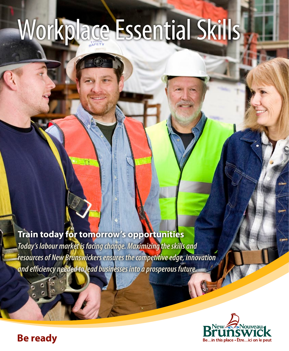# Workplace Essential Skills

# **Train today for tomorrow's opportunities**

*Today's labour market is facing change. Maximizing the skills and resources of New Brunswickers ensures the competitive edge, innovation and efficiency needed to lead businesses into a prosperous future.* 



# **Be ready**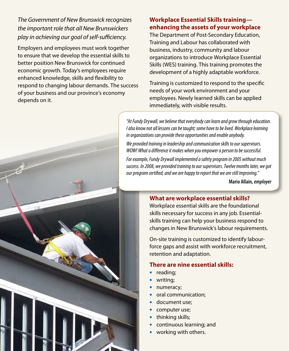# *The Government of New Brunswick recognizes the important role that all New Brunswickers play in achieving our goal of self-sufficiency.*

Employers and employees must work together to ensure that we develop the essential skills to better position New Brunswick for continued economic growth. Today's employees require enhanced knowledge, skills and flexibility to respond to changing labour demands. The success of your business and our province's economy depends on it.

# **Workplace Essential Skills training enhancing the assets of your workplace**

The Department of Post-Secondary Education, Training and Labour has collaborated with business, industry, community and labour organizations to introduce Workplace Essential Skills (WES) training. This training promotes the development of a highly adaptable workforce.

Training is customized to respond to the specific needs of your work environment and your employees. Newly learned skills can be applied immediately, with visible results.

*"At Fundy Drywall, we believe that everybody can learn and grow through education. I also know not all lessons can be taught; some have to be lived. Workplace learning in organizations can provide these opportunities and enable anybody.*

*We provided training in leadership and communication skills to our supervisors. WOW! What a difference it makes when you empower a person to be successful.*

*For example, Fundy Drywall implemented a safety program in 2005 without much success. In 2008, we provided training to our supervisors. Twelve months later, we got our program certified, and we are happy to report that we are still improving."*

**Mario Allain,** *employer*

## **What are workplace essential skills?**

Workplace essential skills are the foundational skills necessary for success in any job. Essentialskills training can help your business respond to changes in New Brunswick's labour requirements.

On-site training is customized to identify labourforce gaps and assist with workforce recruitment, retention and adaptation.

## **There are nine essential skills:**

- reading;
- writing;
- numeracy;
- oral communication;
- document use:
- computer use;
- thinking skills;
- continuous learning; and
- working with others.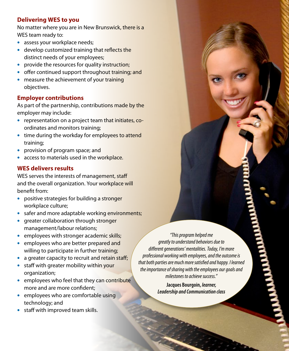# **Delivering WES to you**

No matter where you are in New Brunswick, there is a WES team ready to:

- assess your workplace needs;
- develop customized training that reflects the distinct needs of your employees;
- provide the resources for quality instruction;
- offer continued support throughout training; and
- measure the achievement of your training objectives.

# **Employer contributions**

As part of the partnership, contributions made by the employer may include:

- representation on a project team that initiates, coordinates and monitors training;
- time during the workday for employees to attend training;
- provision of program space; and
- access to materials used in the workplace.

# **WES delivers results**

WES serves the interests of management, staff and the overall organization. Your workplace will benefit from:

- positive strategies for building a stronger workplace culture;
- safer and more adaptable working environments;
- greater collaboration through stronger management/labour relations;
- employees with stronger academic skills;
- employees who are better prepared and willing to participate in further training;
- a greater capacity to recruit and retain staff;
- staff with greater mobility within your organization;
- employees who feel that they can contribute more and are more confident;
- employees who are comfortable using technology; and
- staff with improved team skills.

*"This program helped me greatly to understand behaviors due to different generations' mentalities. Today, I'm more professional working with employees, and the outcome is that both parties are much more satisfied and happy. I learned the importance of sharing with the employees our goals and milestones to achieve success."*

> **Jacques Bourgoin,** *learner, Leadership and Communication class*